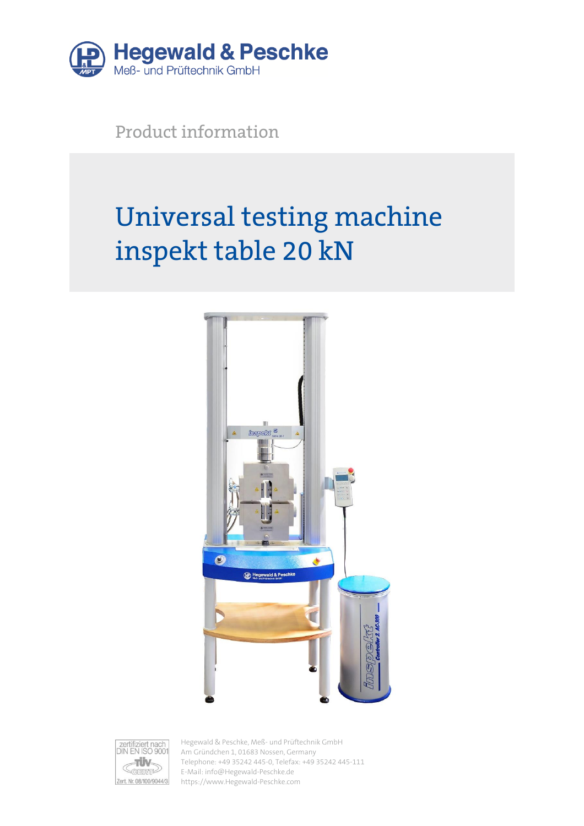

Product information

# Universal testing machine inspekt table 20 kN





Hegewald & Peschke, Meß- und Prüftechnik GmbH Am Gründchen 1, 01683 Nossen, Germany Telephone: +49 35242 445-0, Telefax: +49 35242 445-111 E-Mail: info@Hegewald-Peschke.de https://www.Hegewald-Peschke.com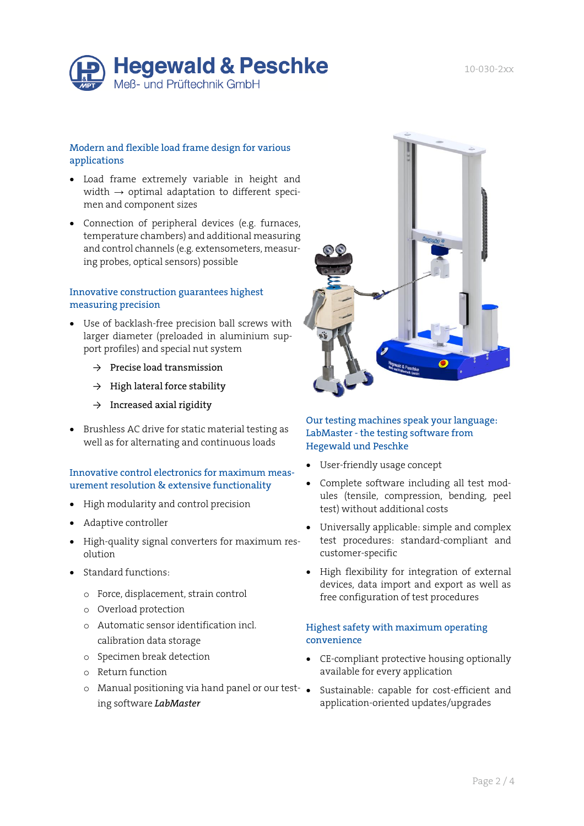

#### Modern and flexible load frame design for various applications

- Load frame extremely variable in height and width  $\rightarrow$  optimal adaptation to different specimen and component sizes
- Connection of peripheral devices (e.g. furnaces, temperature chambers) and additional measuring and control channels (e.g. extensometers, measuring probes, optical sensors) possible

#### Innovative construction guarantees highest measuring precision

- Use of backlash-free precision ball screws with larger diameter (preloaded in aluminium support profiles) and special nut system
	- $\rightarrow$  Precise load transmission
	- $\rightarrow$  High lateral force stability
	- $\rightarrow$  Increased axial rigidity
- Brushless AC drive for static material testing as well as for alternating and continuous loads

#### Innovative control electronics for maximum measurement resolution & extensive functionality

- High modularity and control precision
- Adaptive controller
- High-quality signal converters for maximum resolution
- Standard functions:
	- o Force, displacement, strain control
	- o Overload protection
	- o Automatic sensor identification incl. calibration data storage
	- o Specimen break detection
	- o Return function
	- o Manual positioning via hand panel or our testing software *LabMaster*



## Our testing machines speak your language: LabMaster - the testing software from Hegewald und Peschke

- User-friendly usage concept
- Complete software including all test modules (tensile, compression, bending, peel test) without additional costs
- Universally applicable: simple and complex test procedures: standard-compliant and customer-specific
- High flexibility for integration of external devices, data import and export as well as free configuration of test procedures

#### Highest safety with maximum operating convenience

- CE-compliant protective housing optionally available for every application
- Sustainable: capable for cost-efficient and application-oriented updates/upgrades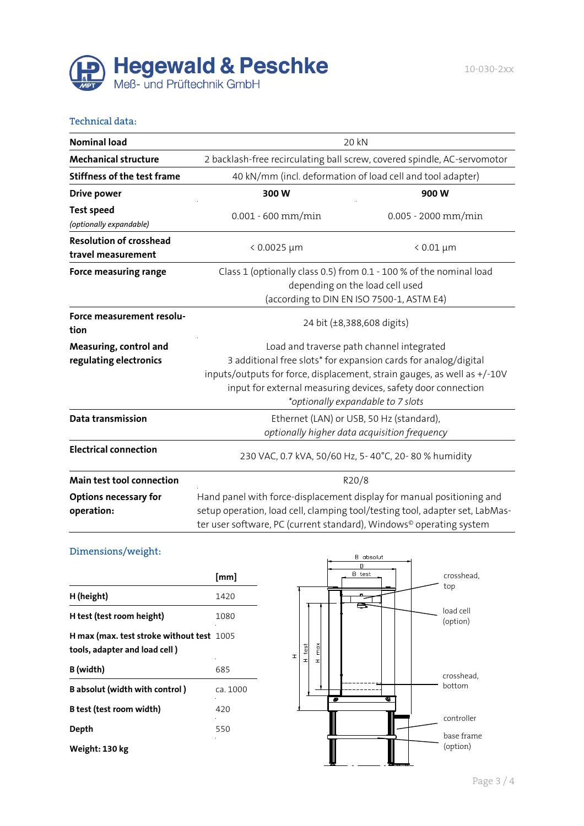

#### Technical data:

| <b>Nominal load</b>                                                                                                                                                                                                                                                        | 20 kN                                                                                                                                                                                                                                    |                                           |  |  |  |  |  |
|----------------------------------------------------------------------------------------------------------------------------------------------------------------------------------------------------------------------------------------------------------------------------|------------------------------------------------------------------------------------------------------------------------------------------------------------------------------------------------------------------------------------------|-------------------------------------------|--|--|--|--|--|
| <b>Mechanical structure</b>                                                                                                                                                                                                                                                | 2 backlash-free recirculating ball screw, covered spindle, AC-servomotor                                                                                                                                                                 |                                           |  |  |  |  |  |
| <b>Stiffness of the test frame</b>                                                                                                                                                                                                                                         | 40 kN/mm (incl. deformation of load cell and tool adapter)                                                                                                                                                                               |                                           |  |  |  |  |  |
| <b>Drive power</b>                                                                                                                                                                                                                                                         | 300W                                                                                                                                                                                                                                     | 900W                                      |  |  |  |  |  |
| <b>Test speed</b><br>(optionally expandable)                                                                                                                                                                                                                               | $0.001 - 600$ mm/min                                                                                                                                                                                                                     | 0.005 - 2000 mm/min                       |  |  |  |  |  |
| <b>Resolution of crosshead</b><br>travel measurement                                                                                                                                                                                                                       | $< 0.0025 \mu m$                                                                                                                                                                                                                         | $< 0.01 \mu m$                            |  |  |  |  |  |
| <b>Force measuring range</b>                                                                                                                                                                                                                                               | Class 1 (optionally class 0.5) from 0.1 - 100 % of the nominal load<br>depending on the load cell used<br>(according to DIN EN ISO 7500-1, ASTM E4)                                                                                      |                                           |  |  |  |  |  |
| Force measurement resolu-<br>tion                                                                                                                                                                                                                                          | 24 bit (±8,388,608 digits)                                                                                                                                                                                                               |                                           |  |  |  |  |  |
| Measuring, control and                                                                                                                                                                                                                                                     |                                                                                                                                                                                                                                          | Load and traverse path channel integrated |  |  |  |  |  |
| 3 additional free slots* for expansion cards for analog/digital<br>regulating electronics<br>inputs/outputs for force, displacement, strain gauges, as well as +/-10V<br>input for external measuring devices, safety door connection<br>*optionally expandable to 7 slots |                                                                                                                                                                                                                                          |                                           |  |  |  |  |  |
| Data transmission                                                                                                                                                                                                                                                          | Ethernet (LAN) or USB, 50 Hz (standard),<br>optionally higher data acquisition frequency                                                                                                                                                 |                                           |  |  |  |  |  |
| <b>Electrical connection</b>                                                                                                                                                                                                                                               | 230 VAC, 0.7 kVA, 50/60 Hz, 5-40°C, 20-80% humidity                                                                                                                                                                                      |                                           |  |  |  |  |  |
| Main test tool connection                                                                                                                                                                                                                                                  | R20/8                                                                                                                                                                                                                                    |                                           |  |  |  |  |  |
| <b>Options necessary for</b><br>operation:                                                                                                                                                                                                                                 | Hand panel with force-displacement display for manual positioning and<br>setup operation, load cell, clamping tool/testing tool, adapter set, LabMas-<br>ter user software, PC (current standard), Windows <sup>®</sup> operating system |                                           |  |  |  |  |  |

## Dimensions/weight:

|                                                                            | [mm]     |
|----------------------------------------------------------------------------|----------|
| H (height)                                                                 | 1420     |
| H test (test room height)                                                  | 1080     |
| H max (max. test stroke without test 1005<br>tools, adapter and load cell) |          |
| B (width)                                                                  | 685      |
| <b>B</b> absolut (width with control)                                      | ca. 1000 |
| B test (test room width)                                                   | 420      |
| Depth                                                                      | 550      |
| Weight: 130 kg                                                             |          |